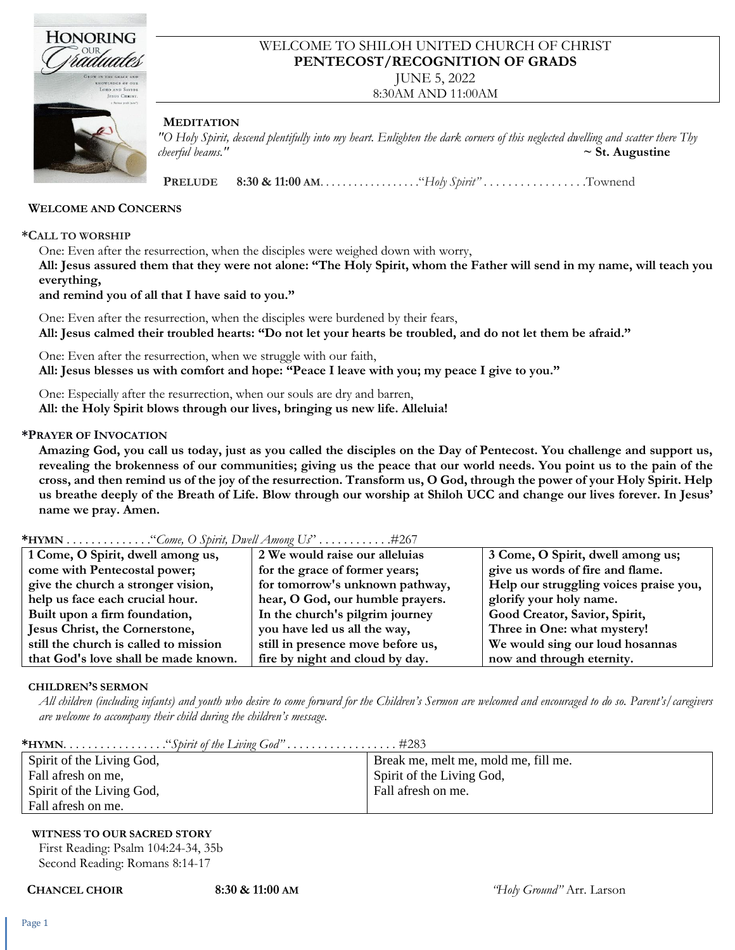

### WELCOME TO SHILOH UNITED CHURCH OF CHRIST **PENTECOST/RECOGNITION OF GRADS**

JUNE 5, 2022

8:30AM AND 11:00AM

#### **MEDITATION**

*"O Holy Spirit, descend plentifully into my heart. Enlighten the dark corners of this neglected dwelling and scatter there Thy cheerful beams."* **~ St. Augustine**

 **PRELUDE 8:30 & 11:00 AM**. . . . . . . . . . . . . . . . . ."*Holy Spirit"* . . . . . . . . . . . . . . . . .Townend

#### **WELCOME AND CONCERNS**

#### **\*CALL TO WORSHIP**

One: Even after the resurrection, when the disciples were weighed down with worry,

**All: Jesus assured them that they were not alone: "The Holy Spirit, whom the Father will send in my name, will teach you everything,**

#### **and remind you of all that I have said to you."**

One: Even after the resurrection, when the disciples were burdened by their fears, **All: Jesus calmed their troubled hearts: "Do not let your hearts be troubled, and do not let them be afraid."**

One: Even after the resurrection, when we struggle with our faith,

**All: Jesus blesses us with comfort and hope: "Peace I leave with you; my peace I give to you."**

One: Especially after the resurrection, when our souls are dry and barren,

**All: the Holy Spirit blows through our lives, bringing us new life. Alleluia!**

#### **\*PRAYER OF INVOCATION**

**Amazing God, you call us today, just as you called the disciples on the Day of Pentecost. You challenge and support us, revealing the brokenness of our communities; giving us the peace that our world needs. You point us to the pain of the cross, and then remind us of the joy of the resurrection. Transform us, O God, through the power of your Holy Spirit. Help us breathe deeply of the Breath of Life. Blow through our worship at Shiloh UCC and change our lives forever. In Jesus' name we pray. Amen.**

#### **\*HYMN** . . . . . . . . . . . . . ."*Come, O Spirit, Dwell Among Us*" . . . . . . . . . . . .#267

| 1 Come, O Spirit, dwell among us,     | 2 We would raise our alleluias    | 3 Come, O Spirit, dwell among us;      |
|---------------------------------------|-----------------------------------|----------------------------------------|
| come with Pentecostal power;          | for the grace of former years;    | give us words of fire and flame.       |
| give the church a stronger vision,    | for tomorrow's unknown pathway,   | Help our struggling voices praise you, |
| help us face each crucial hour.       | hear, O God, our humble prayers.  | glorify your holy name.                |
| Built upon a firm foundation,         | In the church's pilgrim journey   | Good Creator, Savior, Spirit,          |
| Jesus Christ, the Cornerstone,        | you have led us all the way,      | Three in One: what mystery!            |
| still the church is called to mission | still in presence move before us, | We would sing our loud hosannas        |
| that God's love shall be made known.  | fire by night and cloud by day.   | now and through eternity.              |
|                                       |                                   |                                        |

#### **CHILDREN'S SERMON**

All children (including infants) and youth who desire to come forward for the Children's Sermon are welcomed and encouraged to do so. Parent's/caregivers *are welcome to accompany their child during the children's message.*

| Spirit of the Living God, | Break me, melt me, mold me, fill me. |
|---------------------------|--------------------------------------|
| Fall afresh on me,        | Spirit of the Living God,            |
| Spirit of the Living God, | Fall afresh on me.                   |
| Fall afresh on me.        |                                      |

#### **WITNESS TO OUR SACRED STORY**

First Reading: Psalm 104:24-34, 35b Second Reading: Romans 8:14-17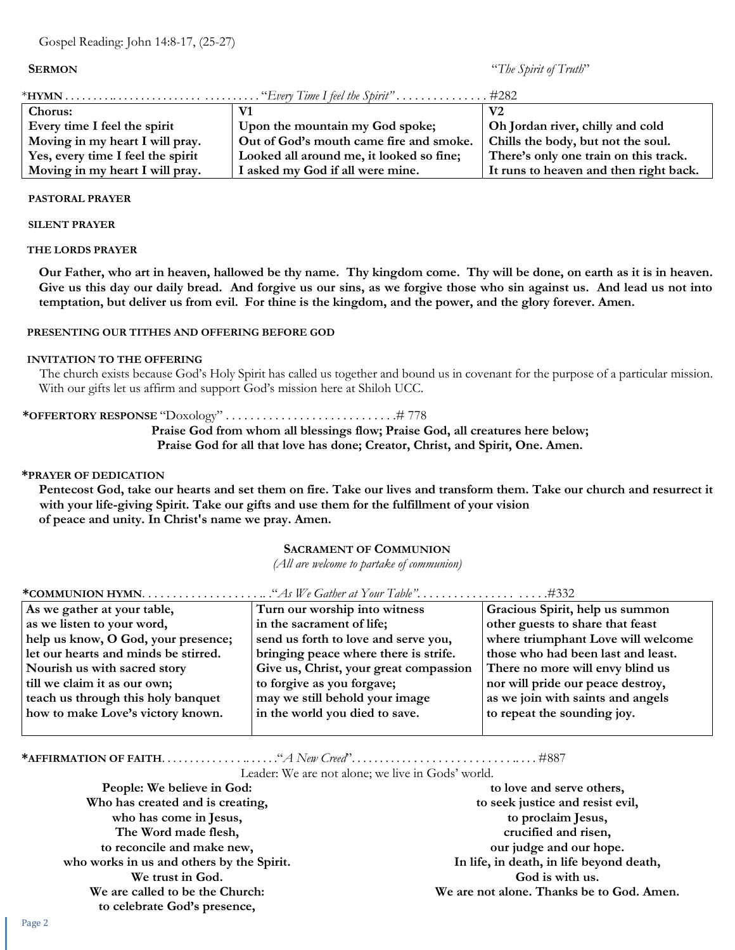**SERMON** "*The Spirit of Truth*"

| Chorus:                           |                                          | V <sub>2</sub>                         |
|-----------------------------------|------------------------------------------|----------------------------------------|
| Every time I feel the spirit      | Upon the mountain my God spoke;          | Oh Jordan river, chilly and cold       |
| Moving in my heart I will pray.   | Out of God's mouth came fire and smoke.  | Chills the body, but not the soul.     |
| Yes, every time I feel the spirit | Looked all around me, it looked so fine; | There's only one train on this track.  |
| Moving in my heart I will pray.   | I asked my God if all were mine.         | It runs to heaven and then right back. |

#### **PASTORAL PRAYER**

#### **SILENT PRAYER**

#### **THE LORDS PRAYER**

**Our Father, who art in heaven, hallowed be thy name. Thy kingdom come. Thy will be done, on earth as it is in heaven. Give us this day our daily bread. And forgive us our sins, as we forgive those who sin against us. And lead us not into temptation, but deliver us from evil. For thine is the kingdom, and the power, and the glory forever. Amen.**

#### **PRESENTING OUR TITHES AND OFFERING BEFORE GOD**

#### **INVITATION TO THE OFFERING**

The church exists because God's Holy Spirit has called us together and bound us in covenant for the purpose of a particular mission. With our gifts let us affirm and support God's mission here at Shiloh UCC.

#### **\*OFFERTORY RESPONSE** "Doxology" . . . . . . . . . . . . . . . . . . . . . . . . . . . .# 778

**Praise God from whom all blessings flow; Praise God, all creatures here below;**

**Praise God for all that love has done; Creator, Christ, and Spirit, One. Amen.**

#### **\*PRAYER OF DEDICATION**

**Pentecost God, take our hearts and set them on fire. Take our lives and transform them. Take our church and resurrect it with your life-giving Spirit. Take our gifts and use them for the fulfillment of your vision of peace and unity. In Christ's name we pray. Amen.**

#### **SACRAMENT OF COMMUNION**

*(All are welcome to partake of communion)*

| As we gather at your table,          | Turn our worship into witness          | Gracious Spirit, help us summon    |  |
|--------------------------------------|----------------------------------------|------------------------------------|--|
| as we listen to your word,           | in the sacrament of life;              | other guests to share that feast   |  |
| help us know, O God, your presence;  | send us forth to love and serve you,   | where triumphant Love will welcome |  |
| let our hearts and minds be stirred. | bringing peace where there is strife.  | those who had been last and least. |  |
| Nourish us with sacred story         | Give us, Christ, your great compassion | There no more will envy blind us   |  |
| till we claim it as our own;         | to forgive as you forgave;             | nor will pride our peace destroy,  |  |
| teach us through this holy banquet   | may we still behold your image         | as we join with saints and angels  |  |
| how to make Love's victory known.    | in the world you died to save.         | to repeat the sounding joy.        |  |
|                                      |                                        |                                    |  |

### **\*COMMUNION HYMN**. . . . . . . . . . . . . . . . . . . .. ."*As We Gather at Your Table"*. . . . . . . . . . . . . . . . . . . . .#332

**\*AFFIRMATION OF FAITH**. . . . . . . . . . . . . . .. . . . . ."*A New Creed*". . . . . . . . . . . . . . . . . . . . . . . . . . . .. . . . #887

Leader: We are not alone; we live in Gods' world.

| People: We believe in God:                | to love and serve others,                 |
|-------------------------------------------|-------------------------------------------|
| Who has created and is creating,          | to seek justice and resist evil,          |
| who has come in Jesus,                    | to proclaim Jesus,                        |
| The Word made flesh,                      | crucified and risen,                      |
| to reconcile and make new,                | our judge and our hope.                   |
| who works in us and others by the Spirit. | In life, in death, in life beyond death,  |
| We trust in God.                          | God is with us.                           |
| We are called to be the Church:           | We are not alone. Thanks be to God. Amen. |
| to celebrate God's presence,              |                                           |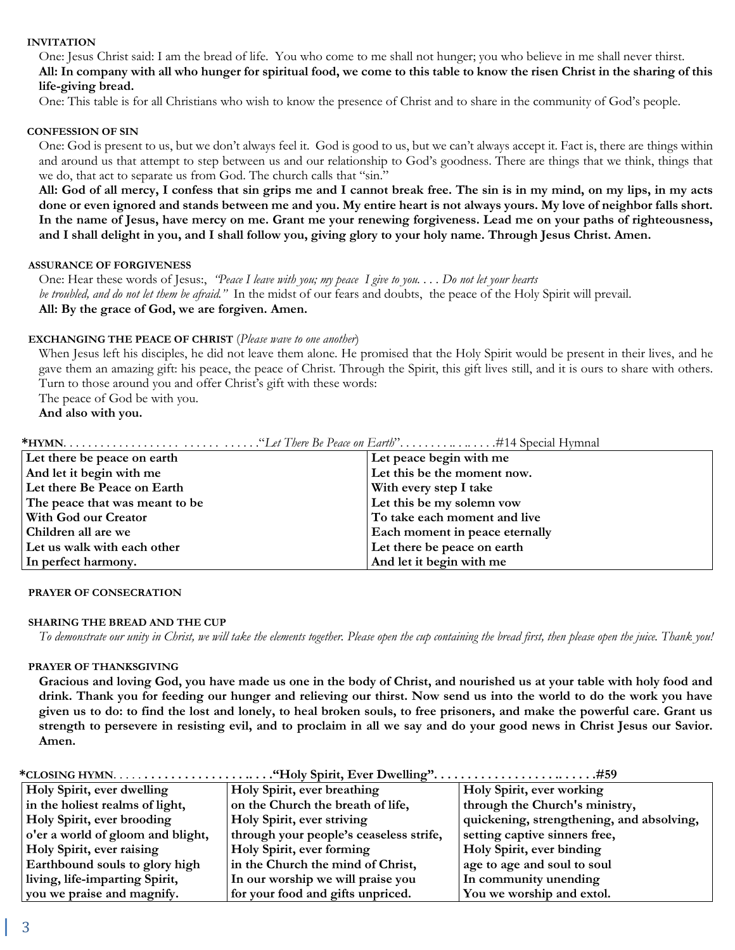#### **INVITATION**

One: Jesus Christ said: I am the bread of life. You who come to me shall not hunger; you who believe in me shall never thirst. **All: In company with all who hunger for spiritual food, we come to this table to know the risen Christ in the sharing of this life-giving bread.**

One: This table is for all Christians who wish to know the presence of Christ and to share in the community of God's people.

#### **CONFESSION OF SIN**

One: God is present to us, but we don't always feel it. God is good to us, but we can't always accept it. Fact is, there are things within and around us that attempt to step between us and our relationship to God's goodness. There are things that we think, things that we do, that act to separate us from God. The church calls that "sin."

**All: God of all mercy, I confess that sin grips me and I cannot break free. The sin is in my mind, on my lips, in my acts done or even ignored and stands between me and you. My entire heart is not always yours. My love of neighbor falls short. In the name of Jesus, have mercy on me. Grant me your renewing forgiveness. Lead me on your paths of righteousness, and I shall delight in you, and I shall follow you, giving glory to your holy name. Through Jesus Christ. Amen.**

#### **ASSURANCE OF FORGIVENESS**

One: Hear these words of Jesus:, *"Peace I leave with you; my peace I give to you. . . . Do not let your hearts be troubled, and do not let them be afraid."* In the midst of our fears and doubts, the peace of the Holy Spirit will prevail. **All: By the grace of God, we are forgiven. Amen.**

#### **EXCHANGING THE PEACE OF CHRIST** (*Please wave to one another*)

When Jesus left his disciples, he did not leave them alone. He promised that the Holy Spirit would be present in their lives, and he gave them an amazing gift: his peace, the peace of Christ. Through the Spirit, this gift lives still, and it is ours to share with others. Turn to those around you and offer Christ's gift with these words:

The peace of God be with you.

**And also with you.**

| Let there be peace on earth    | Let peace begin with me        |
|--------------------------------|--------------------------------|
| And let it begin with me       | Let this be the moment now.    |
| Let there Be Peace on Earth    | With every step I take         |
| The peace that was meant to be | Let this be my solemn vow      |
| <b>With God our Creator</b>    | To take each moment and live   |
| Children all are we            | Each moment in peace eternally |
| Let us walk with each other    | Let there be peace on earth    |
| In perfect harmony.            | And let it begin with me       |

#### **PRAYER OF CONSECRATION**

#### **SHARING THE BREAD AND THE CUP**

*To demonstrate our unity in Christ, we will take the elements together. Please open the cup containing the bread first, then please open the juice. Thank you!*

#### **PRAYER OF THANKSGIVING**

**Gracious and loving God, you have made us one in the body of Christ, and nourished us at your table with holy food and drink. Thank you for feeding our hunger and relieving our thirst. Now send us into the world to do the work you have given us to do: to find the lost and lonely, to heal broken souls, to free prisoners, and make the powerful care. Grant us strength to persevere in resisting evil, and to proclaim in all we say and do your good news in Christ Jesus our Savior. Amen.**

| Holy Spirit, ever dwelling        | Holy Spirit, ever breathing             | Holy Spirit, ever working                 |
|-----------------------------------|-----------------------------------------|-------------------------------------------|
| in the holiest realms of light,   | on the Church the breath of life,       | through the Church's ministry,            |
| Holy Spirit, ever brooding        | Holy Spirit, ever striving              | quickening, strengthening, and absolving, |
| o'er a world of gloom and blight, | through your people's ceaseless strife, | setting captive sinners free,             |
| Holy Spirit, ever raising         | Holy Spirit, ever forming               | Holy Spirit, ever binding                 |
| Earthbound souls to glory high    | in the Church the mind of Christ,       | age to age and soul to soul               |
| living, life-imparting Spirit,    | In our worship we will praise you       | In community unending                     |
| you we praise and magnify.        | for your food and gifts unpriced.       | You we worship and extol.                 |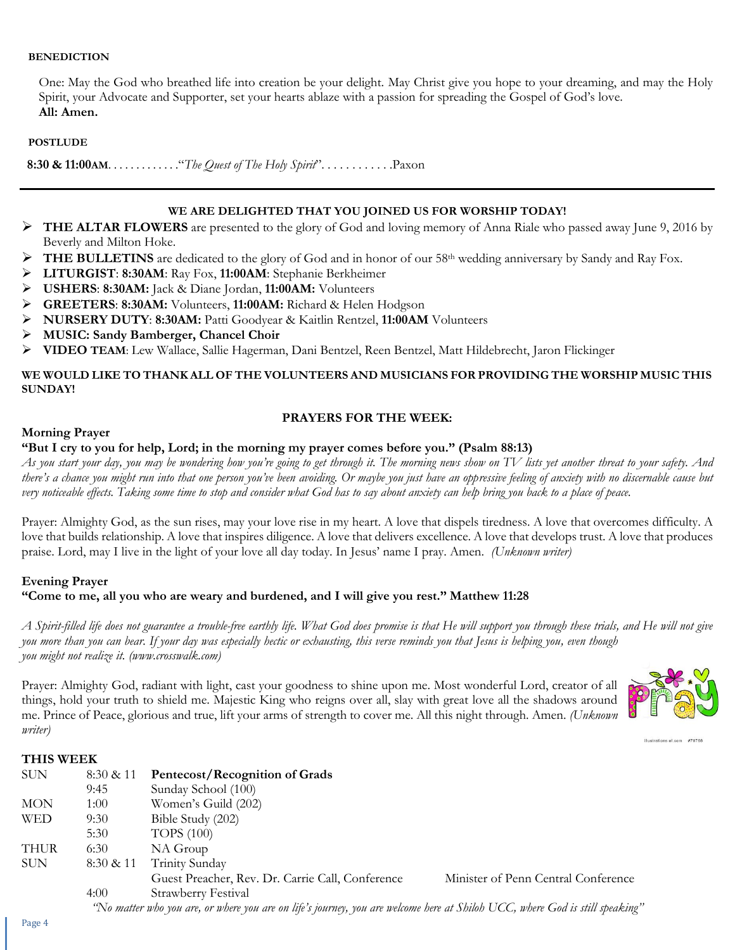#### **BENEDICTION**

One: May the God who breathed life into creation be your delight. May Christ give you hope to your dreaming, and may the Holy Spirit, your Advocate and Supporter, set your hearts ablaze with a passion for spreading the Gospel of God's love. **All: Amen.**

#### **POSTLUDE**

 **8:30 & 11:00AM**. . . . . . . . . . . . ."*The Quest of The Holy Spirit*". . . . . . . . . . . .Paxon

#### **WE ARE DELIGHTED THAT YOU JOINED US FOR WORSHIP TODAY!**

- ➢ **THE ALTAR FLOWERS** are presented to the glory of God and loving memory of Anna Riale who passed away June 9, 2016 by Beverly and Milton Hoke.
- **THE BULLETINS** are dedicated to the glory of God and in honor of our 58<sup>th</sup> wedding anniversary by Sandy and Ray Fox.
- ➢ **LITURGIST**: **8:30AM**: Ray Fox, **11:00AM**: Stephanie Berkheimer
- ➢ **USHERS**: **8:30AM:** Jack & Diane Jordan, **11:00AM:** Volunteers
- ➢ **GREETERS**: **8:30AM:** Volunteers, **11:00AM:** Richard & Helen Hodgson
- ➢ **NURSERY DUTY**: **8:30AM:** Patti Goodyear & Kaitlin Rentzel, **11:00AM** Volunteers
- ➢ **MUSIC: Sandy Bamberger, Chancel Choir**
- ➢ **VIDEO TEAM**: Lew Wallace, Sallie Hagerman, Dani Bentzel, Reen Bentzel, Matt Hildebrecht, Jaron Flickinger

#### **WE WOULD LIKE TO THANK ALL OF THE VOLUNTEERS AND MUSICIANS FOR PROVIDING THE WORSHIP MUSIC THIS SUNDAY!**

#### **PRAYERS FOR THE WEEK:**

#### **Morning Prayer**

#### **"But I cry to you for help, Lord; in the morning my prayer comes before you." (Psalm 88:13)**

*As you start your day, you may be wondering how you're going to get through it. The morning news show on TV lists yet another threat to your safety. And there's a chance you might run into that one person you've been avoiding. Or maybe you just have an oppressive feeling of anxiety with no discernable cause but very noticeable effects. Taking some time to stop and consider what God has to say about anxiety can help bring you back to a place of peace.* 

Prayer: Almighty God, as the sun rises, may your love rise in my heart. A love that dispels tiredness. A love that overcomes difficulty. A love that builds relationship. A love that inspires diligence. A love that delivers excellence. A love that develops trust. A love that produces praise. Lord, may I live in the light of your love all day today. In Jesus' name I pray. Amen. *(Unknown writer)*

#### **Evening Prayer**

**"Come to me, all you who are weary and burdened, and I will give you rest." Matthew 11:28**

*A Spirit-filled life does not guarantee a trouble-free earthly life. What God does promise is that He will support you through these trials, and He will not give you more than you can bear. If your day was especially hectic or exhausting, this verse reminds you that Jesus is helping you, even though you might not realize it. (www.crosswalk.com)*

Prayer: Almighty God, radiant with light, cast your goodness to shine upon me. Most wonderful Lord, creator of all things, hold your truth to shield me. Majestic King who reigns over all, slay with great love all the shadows around me. Prince of Peace, glorious and true, lift your arms of strength to cover me. All this night through. Amen. *(Unknown writer)*



illustrations of com #78768

#### **THIS WEEK**

| <b>SUN</b>  | 8:30 & 11 | Pentecost/Recognition of Grads                                                                                               |                                     |
|-------------|-----------|------------------------------------------------------------------------------------------------------------------------------|-------------------------------------|
|             | 9:45      | Sunday School (100)                                                                                                          |                                     |
| <b>MON</b>  | 1:00      | Women's Guild (202)                                                                                                          |                                     |
| <b>WED</b>  | 9:30      | Bible Study (202)                                                                                                            |                                     |
|             | 5:30      | <b>TOPS</b> (100)                                                                                                            |                                     |
| <b>THUR</b> | 6:30      | NA Group                                                                                                                     |                                     |
| <b>SUN</b>  | 8:30 & 11 | Trinity Sunday                                                                                                               |                                     |
|             |           | Guest Preacher, Rev. Dr. Carrie Call, Conference                                                                             | Minister of Penn Central Conference |
|             | 4:00      | Strawberry Festival                                                                                                          |                                     |
|             |           | "No matter who you are, or where you are on life's journey, you are welcome here at Shiloh UCC, where God is still speaking" |                                     |

Page 4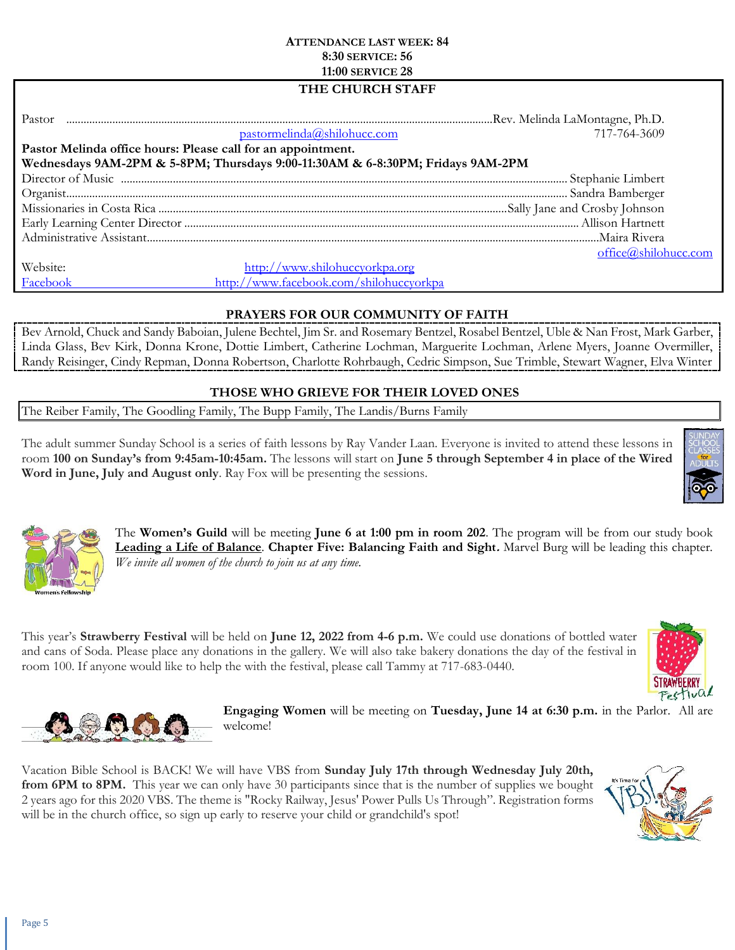#### **ATTENDANCE LAST WEEK: 84 8:30 SERVICE: 56 11:00 SERVICE 28**

### **THE CHURCH STAFF**

| Pastor                                                                         |                                         |                      |  |
|--------------------------------------------------------------------------------|-----------------------------------------|----------------------|--|
|                                                                                | pastormelinda@shilohucc.com             | 717-764-3609         |  |
| Pastor Melinda office hours: Please call for an appointment.                   |                                         |                      |  |
| Wednesdays 9AM-2PM & 5-8PM; Thursdays 9:00-11:30AM & 6-8:30PM; Fridays 9AM-2PM |                                         |                      |  |
|                                                                                |                                         |                      |  |
|                                                                                |                                         |                      |  |
|                                                                                |                                         |                      |  |
|                                                                                |                                         |                      |  |
|                                                                                |                                         |                      |  |
|                                                                                |                                         | office@shilohucc.com |  |
| Website:                                                                       | http://www.shilohuccyorkpa.org          |                      |  |
| Facebook                                                                       | http://www.facebook.com/shilohuccyorkpa |                      |  |

#### **PRAYERS FOR OUR COMMUNITY OF FAITH**

Bev Arnold, Chuck and Sandy Baboian, Julene Bechtel, Jim Sr. and Rosemary Bentzel, Rosabel Bentzel, Uble & Nan Frost, Mark Garber, Linda Glass, Bev Kirk, Donna Krone, Dottie Limbert, Catherine Lochman, Marguerite Lochman, Arlene Myers, Joanne Overmiller, Randy Reisinger, Cindy Repman, Donna Robertson, Charlotte Rohrbaugh, Cedric Simpson, Sue Trimble, Stewart Wagner, Elva Winter

#### **THOSE WHO GRIEVE FOR THEIR LOVED ONES**

The Reiber Family, The Goodling Family, The Bupp Family, The Landis/Burns Family

The adult summer Sunday School is a series of faith lessons by Ray Vander Laan. Everyone is invited to attend these lessons in room **100 on Sunday's from 9:45am-10:45am.** The lessons will start on **June 5 through September 4 in place of the Wired Word in June, July and August only**. Ray Fox will be presenting the sessions.





The **Women's Guild** will be meeting **June 6 at 1:00 pm in room 202**. The program will be from our study book **Leading a Life of Balance**. **Chapter Five: Balancing Faith and Sight.** Marvel Burg will be leading this chapter*. We invite all women of the church to join us at any time.*

This year's **Strawberry Festival** will be held on **June 12, 2022 from 4-6 p.m.** We could use donations of bottled water and cans of Soda. Please place any donations in the gallery. We will also take bakery donations the day of the festival in room 100. If anyone would like to help the with the festival, please call Tammy at 717-683-0440.





**Engaging Women** will be meeting on **Tuesday, June 14 at 6:30 p.m.** in the Parlor. All are welcome!

Vacation Bible School is BACK! We will have VBS from **Sunday July 17th through Wednesday July 20th, from 6PM to 8PM.** This year we can only have 30 participants since that is the number of supplies we bought 2 years ago for this 2020 VBS. The theme is "Rocky Railway, Jesus' Power Pulls Us Through". Registration forms will be in the church office, so sign up early to reserve your child or grandchild's spot!

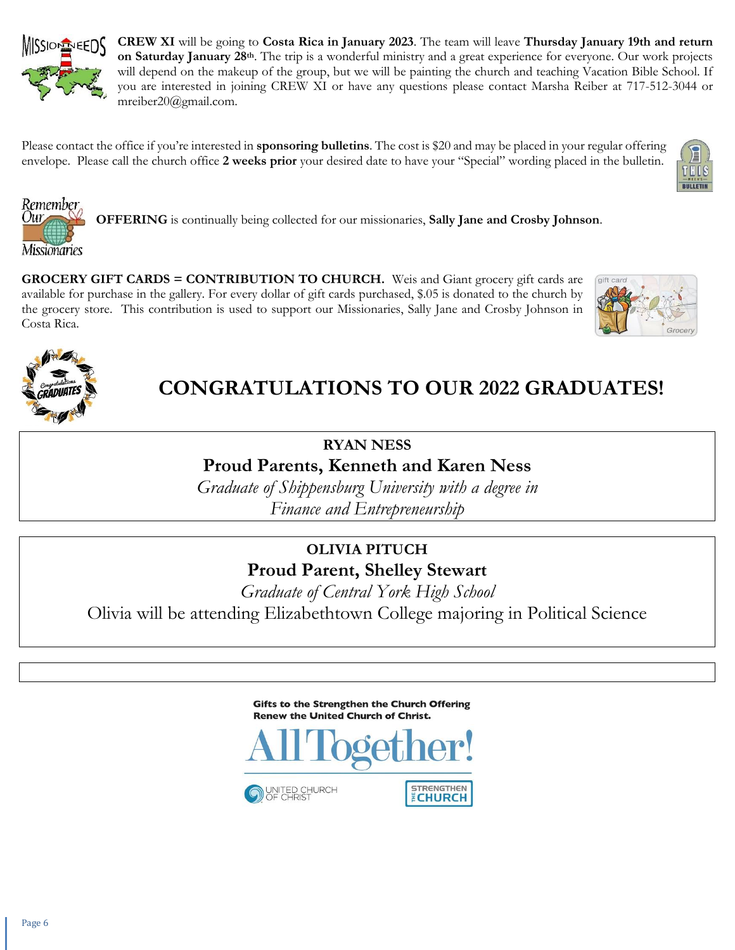

**CREW XI** will be going to **Costa Rica in January 2023**. The team will leave **Thursday January 19th and return on Saturday January 28th**. The trip is a wonderful ministry and a great experience for everyone. Our work projects will depend on the makeup of the group, but we will be painting the church and teaching Vacation Bible School. If you are interested in joining CREW XI or have any questions please contact Marsha Reiber at 717-512-3044 or mreiber20@gmail.com.

Please contact the office if you're interested in **sponsoring bulletins**. The cost is \$20 and may be placed in your regular offering envelope. Please call the church office **2 weeks prior** your desired date to have your "Special" wording placed in the bulletin.





**OFFERING** is continually being collected for our missionaries, **Sally Jane and Crosby Johnson**.

**GROCERY GIFT CARDS = CONTRIBUTION TO CHURCH.** Weis and Giant grocery gift cards are available for purchase in the gallery. For every dollar of gift cards purchased, \$.05 is donated to the church by the grocery store. This contribution is used to support our Missionaries, Sally Jane and Crosby Johnson in Costa Rica.





# **CONGRATULATIONS TO OUR 2022 GRADUATES!**

## **RYAN NESS Proud Parents, Kenneth and Karen Ness**

*Graduate of Shippensburg University with a degree in Finance and Entrepreneurship*

# **OLIVIA PITUCH Proud Parent, Shelley Stewart**

*Graduate of Central York High School* Olivia will be attending Elizabethtown College majoring in Political Science

> Gifts to the Strengthen the Church Offering **Renew the United Church of Christ.**